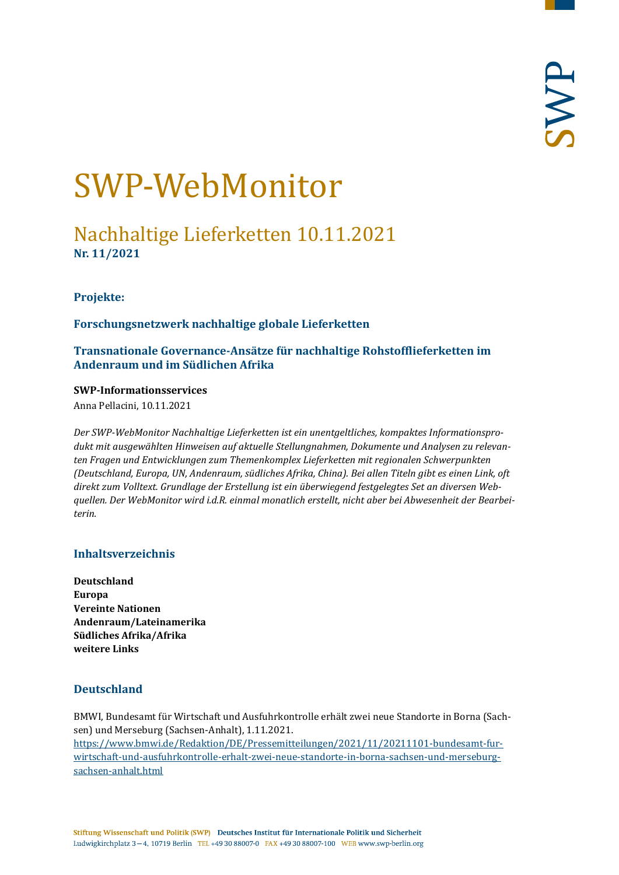# SWP-WebMonitor

## Nachhaltige Lieferketten 10.11.2021 **Nr. 11/2021**

#### <span id="page-0-1"></span>**Projekte:**

**Forschungsnetzwerk nachhaltige globale Lieferketten** 

**Transnationale Governance-Ansätze für nachhaltige Rohstofflieferketten im Andenraum und im Südlichen Afrika**

#### **SWP-Informationsservices**

Anna Pellacini, 10.11.2021

*Der SWP-WebMonitor Nachhaltige Lieferketten ist ein unentgeltliches, kompaktes Informationsprodukt mit ausgewählten Hinweisen auf aktuelle Stellungnahmen, Dokumente und Analysen zu relevanten Fragen und Entwicklungen zum Themenkomplex Lieferketten mit regionalen Schwerpunkten (Deutschland, Europa, UN, Andenraum, südliches Afrika, China). Bei allen Titeln gibt es einen Link, oft direkt zum Volltext. Grundlage der Erstellung ist ein überwiegend festgelegtes Set an diversen Webquellen. Der WebMonitor wird i.d.R. einmal monatlich erstellt, nicht aber bei Abwesenheit der Bearbeiterin.*

#### **Inhaltsverzeichnis**

**[Deutschland](#page-0-0) [Europa](#page-2-0) [Vereinte Nationen](#page-4-0) [Andenraum/Lateinamerika](#page-5-0) [Südliches Afrika/Afrika](#page-8-0) [weitere Links](#page-10-0)**

#### <span id="page-0-0"></span>**Deutschland**

BMWI, Bundesamt für Wirtschaft und Ausfuhrkontrolle erhält zwei neue Standorte in Borna (Sachsen) und Merseburg (Sachsen-Anhalt), 1.11.2021. [https://www.bmwi.de/Redaktion/DE/Pressemitteilungen/2021/11/20211101-bundesamt-fur](https://www.bmwi.de/Redaktion/DE/Pressemitteilungen/2021/11/20211101-bundesamt-fur-wirtschaft-und-ausfuhrkontrolle-erhalt-zwei-neue-standorte-in-borna-sachsen-und-merseburg-sachsen-anhalt.html)[wirtschaft-und-ausfuhrkontrolle-erhalt-zwei-neue-standorte-in-borna-sachsen-und-merseburg](https://www.bmwi.de/Redaktion/DE/Pressemitteilungen/2021/11/20211101-bundesamt-fur-wirtschaft-und-ausfuhrkontrolle-erhalt-zwei-neue-standorte-in-borna-sachsen-und-merseburg-sachsen-anhalt.html)[sachsen-anhalt.html](https://www.bmwi.de/Redaktion/DE/Pressemitteilungen/2021/11/20211101-bundesamt-fur-wirtschaft-und-ausfuhrkontrolle-erhalt-zwei-neue-standorte-in-borna-sachsen-und-merseburg-sachsen-anhalt.html)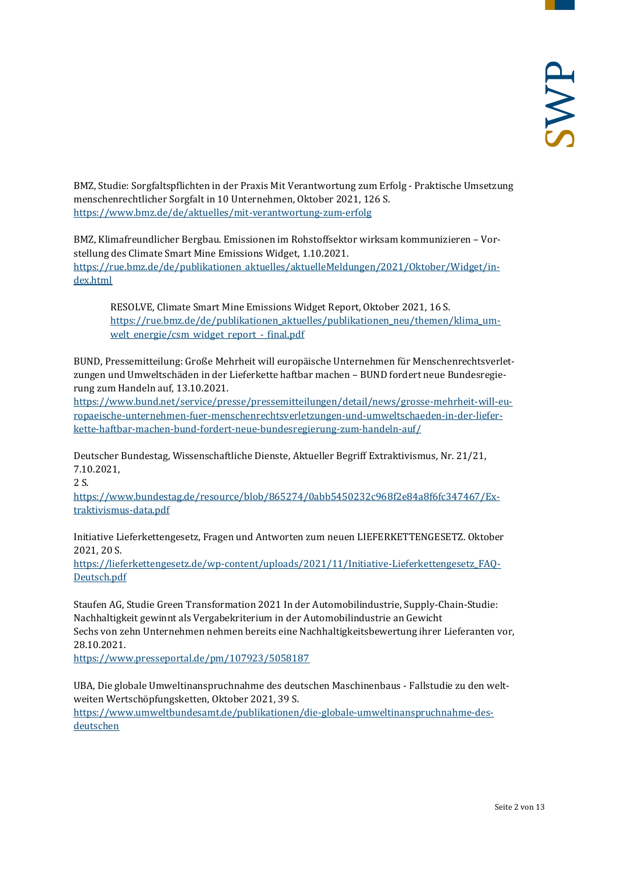BMZ, Studie: Sorgfaltspflichten in der Praxis Mit Verantwortung zum Erfolg - Praktische Umsetzung menschenrechtlicher Sorgfalt in 10 Unternehmen, Oktober 2021, 126 S. <https://www.bmz.de/de/aktuelles/mit-verantwortung-zum-erfolg>

BMZ, Klimafreundlicher Bergbau. Emissionen im Rohstoffsektor wirksam kommunizieren – Vorstellung des Climate Smart Mine Emissions Widget, 1.10.2021. [https://rue.bmz.de/de/publikationen\\_aktuelles/aktuelleMeldungen/2021/Oktober/Widget/in](https://rue.bmz.de/de/publikationen_aktuelles/aktuelleMeldungen/2021/Oktober/Widget/index.html)[dex.html](https://rue.bmz.de/de/publikationen_aktuelles/aktuelleMeldungen/2021/Oktober/Widget/index.html)

RESOLVE, Climate Smart Mine Emissions Widget Report, Oktober 2021, 16 S. [https://rue.bmz.de/de/publikationen\\_aktuelles/publikationen\\_neu/themen/klima\\_um](https://rue.bmz.de/de/publikationen_aktuelles/publikationen_neu/themen/klima_umwelt_energie/csm_widget_report_-_final.pdf)welt energie/csm\_widget\_report - final.pdf

BUND, Pressemitteilung: Große Mehrheit will europäische Unternehmen für Menschenrechtsverletzungen und Umweltschäden in der Lieferkette haftbar machen – BUND fordert neue Bundesregierung zum Handeln auf, 13.10.2021.

[https://www.bund.net/service/presse/pressemitteilungen/detail/news/grosse-mehrheit-will-eu](https://www.bund.net/service/presse/pressemitteilungen/detail/news/grosse-mehrheit-will-europaeische-unternehmen-fuer-menschenrechtsverletzungen-und-umweltschaeden-in-der-lieferkette-haftbar-machen-bund-fordert-neue-bundesregierung-zum-handeln-auf/)[ropaeische-unternehmen-fuer-menschenrechtsverletzungen-und-umweltschaeden-in-der-liefer](https://www.bund.net/service/presse/pressemitteilungen/detail/news/grosse-mehrheit-will-europaeische-unternehmen-fuer-menschenrechtsverletzungen-und-umweltschaeden-in-der-lieferkette-haftbar-machen-bund-fordert-neue-bundesregierung-zum-handeln-auf/)[kette-haftbar-machen-bund-fordert-neue-bundesregierung-zum-handeln-auf/](https://www.bund.net/service/presse/pressemitteilungen/detail/news/grosse-mehrheit-will-europaeische-unternehmen-fuer-menschenrechtsverletzungen-und-umweltschaeden-in-der-lieferkette-haftbar-machen-bund-fordert-neue-bundesregierung-zum-handeln-auf/)

Deutscher Bundestag, Wissenschaftliche Dienste, Aktueller Begriff Extraktivismus, Nr. 21/21, 7.10.2021,

2 S.

[https://www.bundestag.de/resource/blob/865274/0abb5450232c968f2e84a8f6fc347467/Ex](https://www.bundestag.de/resource/blob/865274/0abb5450232c968f2e84a8f6fc347467/Extraktivismus-data.pdf)[traktivismus-data.pdf](https://www.bundestag.de/resource/blob/865274/0abb5450232c968f2e84a8f6fc347467/Extraktivismus-data.pdf)

Initiative Lieferkettengesetz, Fragen und Antworten zum neuen LIEFERKETTENGESETZ. Oktober 2021, 20 S.

[https://lieferkettengesetz.de/wp-content/uploads/2021/11/Initiative-Lieferkettengesetz\\_FAQ-](https://lieferkettengesetz.de/wp-content/uploads/2021/11/Initiative-Lieferkettengesetz_FAQ-Deutsch.pdf)[Deutsch.pdf](https://lieferkettengesetz.de/wp-content/uploads/2021/11/Initiative-Lieferkettengesetz_FAQ-Deutsch.pdf)

Staufen AG, Studie Green Transformation 2021 In der Automobilindustrie, Supply-Chain-Studie: Nachhaltigkeit gewinnt als Vergabekriterium in der Automobilindustrie an Gewicht Sechs von zehn Unternehmen nehmen bereits eine Nachhaltigkeitsbewertung ihrer Lieferanten vor, 28.10.2021.

<https://www.presseportal.de/pm/107923/5058187>

UBA, Die globale Umweltinanspruchnahme des deutschen Maschinenbaus - Fallstudie zu den weltweiten Wertschöpfungsketten, Oktober 2021, 39 S. [https://www.umweltbundesamt.de/publikationen/die-globale-umweltinanspruchnahme-des](https://www.umweltbundesamt.de/publikationen/die-globale-umweltinanspruchnahme-des-deutschen)[deutschen](https://www.umweltbundesamt.de/publikationen/die-globale-umweltinanspruchnahme-des-deutschen)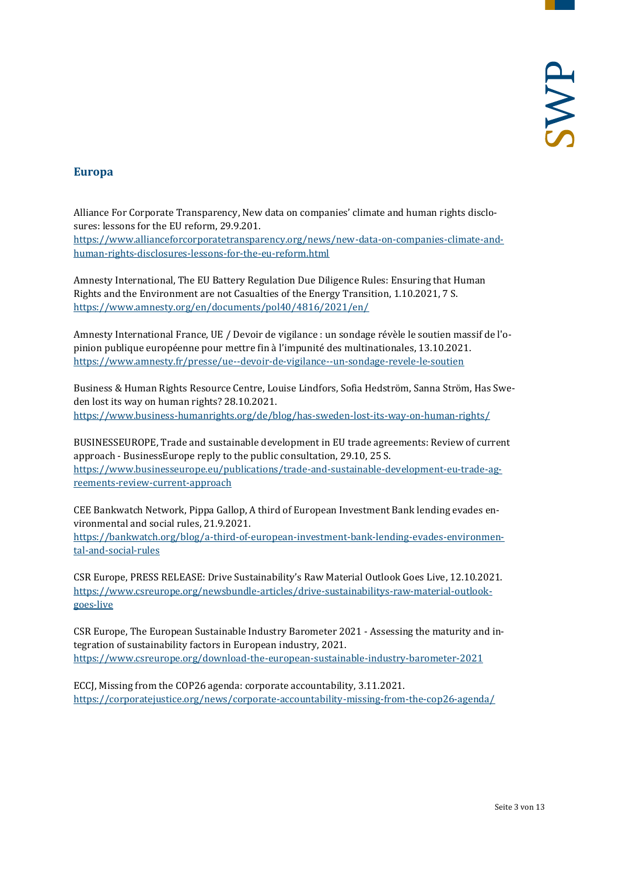#### <span id="page-2-0"></span>**Europa**

Alliance For Corporate Transparency, New data on companies' climate and human rights disclosures: lessons for the EU reform, 29.9.201. [https://www.allianceforcorporatetransparency.org/news/new-data-on-companies-climate-and](https://www.allianceforcorporatetransparency.org/news/new-data-on-companies-climate-and-human-rights-disclosures-lessons-for-the-eu-reform.html)[human-rights-disclosures-lessons-for-the-eu-reform.html](https://www.allianceforcorporatetransparency.org/news/new-data-on-companies-climate-and-human-rights-disclosures-lessons-for-the-eu-reform.html)

Amnesty International, The EU Battery Regulation Due Diligence Rules: Ensuring that Human Rights and the Environment are not Casualties of the Energy Transition, 1.10.2021, 7 S. <https://www.amnesty.org/en/documents/pol40/4816/2021/en/>

Amnesty International France, UE / Devoir de vigilance : un sondage révèle le soutien massif de l'opinion publique européenne pour mettre fin à l'impunité des multinationales, 13.10.2021. <https://www.amnesty.fr/presse/ue--devoir-de-vigilance--un-sondage-revele-le-soutien>

Business & Human Rights Resource Centre, Louise Lindfors, Sofia Hedström, Sanna Ström, Has Sweden lost its way on human rights? 28.10.2021. <https://www.business-humanrights.org/de/blog/has-sweden-lost-its-way-on-human-rights/>

BUSINESSEUROPE, Trade and sustainable development in EU trade agreements: Review of current approach - BusinessEurope reply to the public consultation, 29.10, 25 S. [https://www.businesseurope.eu/publications/trade-and-sustainable-development-eu-trade-ag](https://www.businesseurope.eu/publications/trade-and-sustainable-development-eu-trade-agreements-review-current-approach)[reements-review-current-approach](https://www.businesseurope.eu/publications/trade-and-sustainable-development-eu-trade-agreements-review-current-approach)

CEE Bankwatch Network, Pippa Gallop, A third of European Investment Bank lending evades environmental and social rules, 21.9.2021.

[https://bankwatch.org/blog/a-third-of-european-investment-bank-lending-evades-environmen](https://bankwatch.org/blog/a-third-of-european-investment-bank-lending-evades-environmental-and-social-rules)[tal-and-social-rules](https://bankwatch.org/blog/a-third-of-european-investment-bank-lending-evades-environmental-and-social-rules)

CSR Europe, PRESS RELEASE: Drive Sustainability's Raw Material Outlook Goes Live, 12.10.2021. [https://www.csreurope.org/newsbundle-articles/drive-sustainabilitys-raw-material-outlook](https://www.csreurope.org/newsbundle-articles/drive-sustainabilitys-raw-material-outlook-goes-live)[goes-live](https://www.csreurope.org/newsbundle-articles/drive-sustainabilitys-raw-material-outlook-goes-live)

CSR Europe, The European Sustainable Industry Barometer 2021 - Assessing the maturity and integration of sustainability factors in European industry, 2021. <https://www.csreurope.org/download-the-european-sustainable-industry-barometer-2021>

ECCJ, Missing from the COP26 agenda: corporate accountability, 3.11.2021. <https://corporatejustice.org/news/corporate-accountability-missing-from-the-cop26-agenda/>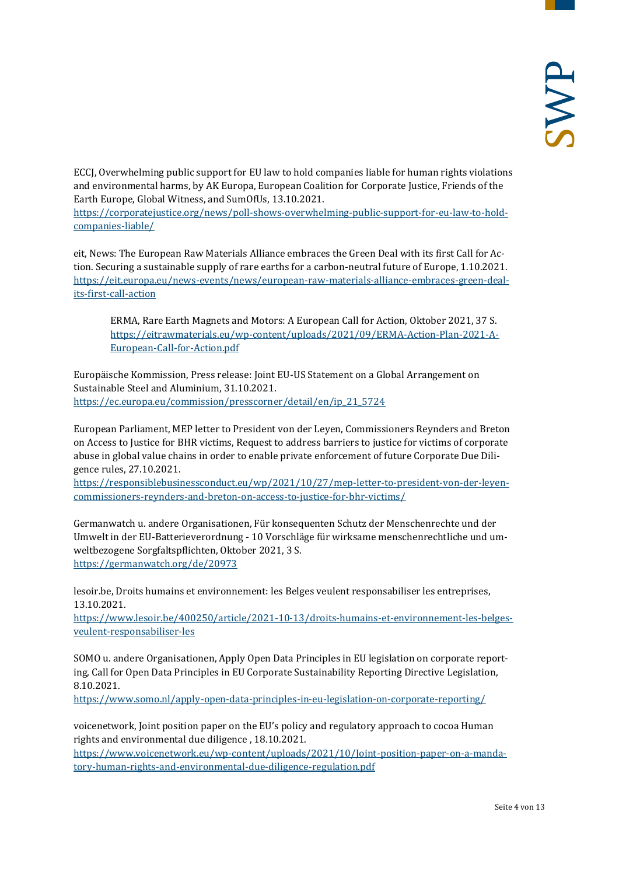ECCJ, Overwhelming public support for EU law to hold companies liable for human rights violations and environmental harms, by AK Europa, European Coalition for Corporate Justice, Friends of the Earth Europe, Global Witness, and SumOfUs, 13.10.2021.

[https://corporatejustice.org/news/poll-shows-overwhelming-public-support-for-eu-law-to-hold](https://corporatejustice.org/news/poll-shows-overwhelming-public-support-for-eu-law-to-hold-companies-liable/)[companies-liable/](https://corporatejustice.org/news/poll-shows-overwhelming-public-support-for-eu-law-to-hold-companies-liable/)

eit, News: The European Raw Materials Alliance embraces the Green Deal with its first Call for Action. Securing a sustainable supply of rare earths for a carbon-neutral future of Europe, 1.10.2021. [https://eit.europa.eu/news-events/news/european-raw-materials-alliance-embraces-green-deal](https://eit.europa.eu/news-events/news/european-raw-materials-alliance-embraces-green-deal-its-first-call-action)[its-first-call-action](https://eit.europa.eu/news-events/news/european-raw-materials-alliance-embraces-green-deal-its-first-call-action)

ERMA, Rare Earth Magnets and Motors: A European Call for Action, Oktober 2021, 37 S. [https://eitrawmaterials.eu/wp-content/uploads/2021/09/ERMA-Action-Plan-2021-A-](https://eitrawmaterials.eu/wp-content/uploads/2021/09/ERMA-Action-Plan-2021-A-European-Call-for-Action.pdf)[European-Call-for-Action.pdf](https://eitrawmaterials.eu/wp-content/uploads/2021/09/ERMA-Action-Plan-2021-A-European-Call-for-Action.pdf)

Europäische Kommission, Press release: Joint EU-US Statement on a Global Arrangement on Sustainable Steel and Aluminium, 31.10.2021. [https://ec.europa.eu/commission/presscorner/detail/en/ip\\_21\\_5724](https://ec.europa.eu/commission/presscorner/detail/en/ip_21_5724)

European Parliament, MEP letter to President von der Leyen, Commissioners Reynders and Breton on Access to Justice for BHR victims, Request to address barriers to justice for victims of corporate abuse in global value chains in order to enable private enforcement of future Corporate Due Diligence rules, 27.10.2021.

[https://responsiblebusinessconduct.eu/wp/2021/10/27/mep-letter-to-president-von-der-leyen](https://responsiblebusinessconduct.eu/wp/2021/10/27/mep-letter-to-president-von-der-leyen-commissioners-reynders-and-breton-on-access-to-justice-for-bhr-victims/)[commissioners-reynders-and-breton-on-access-to-justice-for-bhr-victims/](https://responsiblebusinessconduct.eu/wp/2021/10/27/mep-letter-to-president-von-der-leyen-commissioners-reynders-and-breton-on-access-to-justice-for-bhr-victims/)

Germanwatch u. andere Organisationen, Für konsequenten Schutz der Menschenrechte und der Umwelt in der EU-Batterieverordnung - 10 Vorschläge für wirksame menschenrechtliche und umweltbezogene Sorgfaltspflichten, Oktober 2021, 3 S. <https://germanwatch.org/de/20973>

lesoir.be, Droits humains et environnement: les Belges veulent responsabiliser les entreprises, 13.10.2021.

[https://www.lesoir.be/400250/article/2021-10-13/droits-humains-et-environnement-les-belges](https://www.lesoir.be/400250/article/2021-10-13/droits-humains-et-environnement-les-belges-veulent-responsabiliser-les)[veulent-responsabiliser-les](https://www.lesoir.be/400250/article/2021-10-13/droits-humains-et-environnement-les-belges-veulent-responsabiliser-les)

SOMO u. andere Organisationen, Apply Open Data Principles in EU legislation on corporate reporting, Call for Open Data Principles in EU Corporate Sustainability Reporting Directive Legislation, 8.10.2021.

<https://www.somo.nl/apply-open-data-principles-in-eu-legislation-on-corporate-reporting/>

voicenetwork, Joint position paper on the EU's policy and regulatory approach to cocoa Human rights and environmental due diligence , 18.10.2021.

[https://www.voicenetwork.eu/wp-content/uploads/2021/10/Joint-position-paper-on-a-manda](https://www.voicenetwork.eu/wp-content/uploads/2021/10/Joint-position-paper-on-a-mandatory-human-rights-and-environmental-due-diligence-regulation.pdf)[tory-human-rights-and-environmental-due-diligence-regulation.pdf](https://www.voicenetwork.eu/wp-content/uploads/2021/10/Joint-position-paper-on-a-mandatory-human-rights-and-environmental-due-diligence-regulation.pdf)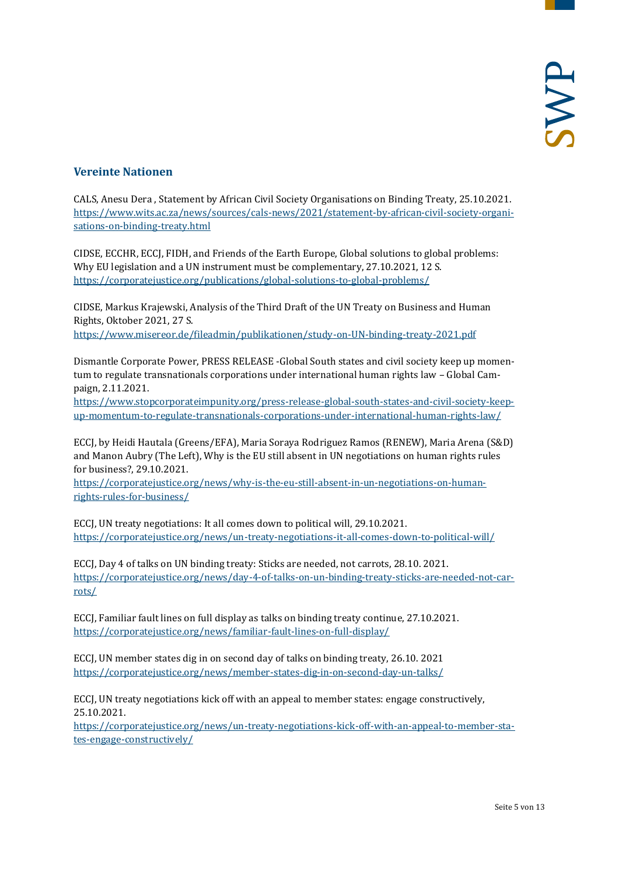#### <span id="page-4-0"></span>**Vereinte Nationen**

CALS, Anesu Dera , Statement by African Civil Society Organisations on Binding Treaty, 25.10.2021. [https://www.wits.ac.za/news/sources/cals-news/2021/statement-by-african-civil-society-organi](https://www.wits.ac.za/news/sources/cals-news/2021/statement-by-african-civil-society-organisations-on-binding-treaty.html)[sations-on-binding-treaty.html](https://www.wits.ac.za/news/sources/cals-news/2021/statement-by-african-civil-society-organisations-on-binding-treaty.html)

CIDSE, ECCHR, ECCJ, FIDH, and Friends of the Earth Europe, Global solutions to global problems: Why EU legislation and a UN instrument must be complementary, 27.10.2021, 12 S. <https://corporatejustice.org/publications/global-solutions-to-global-problems/>

CIDSE, Markus Krajewski, Analysis of the Third Draft of the UN Treaty on Business and Human Rights, Oktober 2021, 27 S. <https://www.misereor.de/fileadmin/publikationen/study-on-UN-binding-treaty-2021.pdf>

Dismantle Corporate Power, PRESS RELEASE -Global South states and civil society keep up momen-

tum to regulate transnationals corporations under international human rights law – Global Campaign, 2.11.2021.

[https://www.stopcorporateimpunity.org/press-release-global-south-states-and-civil-society-keep](https://www.stopcorporateimpunity.org/press-release-global-south-states-and-civil-society-keep-up-momentum-to-regulate-transnationals-corporations-under-international-human-rights-law/)[up-momentum-to-regulate-transnationals-corporations-under-international-human-rights-law/](https://www.stopcorporateimpunity.org/press-release-global-south-states-and-civil-society-keep-up-momentum-to-regulate-transnationals-corporations-under-international-human-rights-law/)

ECCJ, by Heidi Hautala (Greens/EFA), Maria Soraya Rodriguez Ramos (RENEW), Maria Arena (S&D) and Manon Aubry (The Left), Why is the EU still absent in UN negotiations on human rights rules for business?, 29.10.2021.

[https://corporatejustice.org/news/why-is-the-eu-still-absent-in-un-negotiations-on-human](https://corporatejustice.org/news/why-is-the-eu-still-absent-in-un-negotiations-on-human-rights-rules-for-business/)[rights-rules-for-business/](https://corporatejustice.org/news/why-is-the-eu-still-absent-in-un-negotiations-on-human-rights-rules-for-business/)

ECCJ, UN treaty negotiations: It all comes down to political will, 29.10.2021. <https://corporatejustice.org/news/un-treaty-negotiations-it-all-comes-down-to-political-will/>

ECCJ, Day 4 of talks on UN binding treaty: Sticks are needed, not carrots, 28.10. 2021. [https://corporatejustice.org/news/day-4-of-talks-on-un-binding-treaty-sticks-are-needed-not-car](https://corporatejustice.org/news/day-4-of-talks-on-un-binding-treaty-sticks-are-needed-not-carrots/)[rots/](https://corporatejustice.org/news/day-4-of-talks-on-un-binding-treaty-sticks-are-needed-not-carrots/)

ECCJ, Familiar fault lines on full display as talks on binding treaty continue, 27.10.2021. <https://corporatejustice.org/news/familiar-fault-lines-on-full-display/>

ECCJ, UN member states dig in on second day of talks on binding treaty, 26.10. 2021 <https://corporatejustice.org/news/member-states-dig-in-on-second-day-un-talks/>

ECCJ, UN treaty negotiations kick off with an appeal to member states: engage constructively, 25.10.2021.

[https://corporatejustice.org/news/un-treaty-negotiations-kick-off-with-an-appeal-to-member-sta](https://corporatejustice.org/news/un-treaty-negotiations-kick-off-with-an-appeal-to-member-states-engage-constructively/)[tes-engage-constructively/](https://corporatejustice.org/news/un-treaty-negotiations-kick-off-with-an-appeal-to-member-states-engage-constructively/)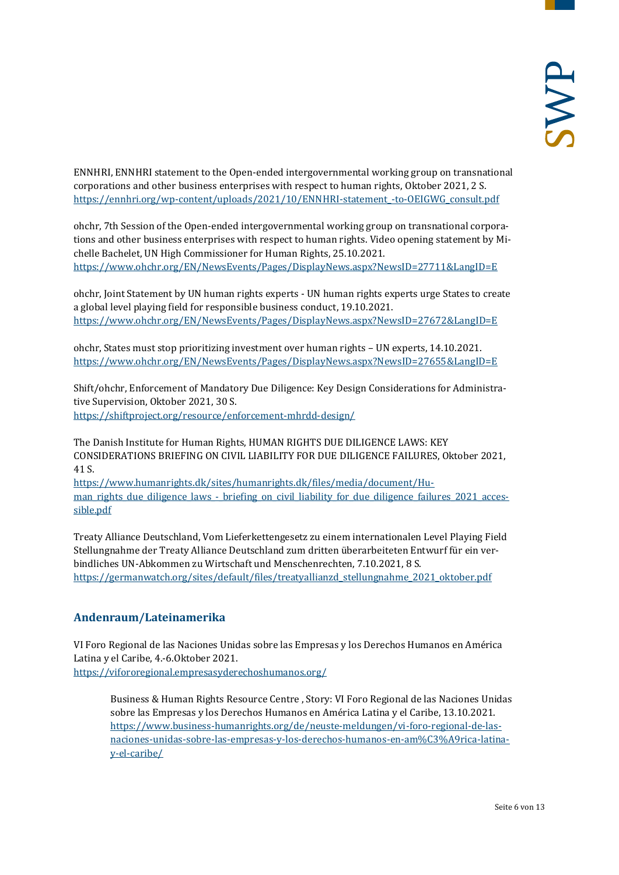ENNHRI, ENNHRI statement to the Open-ended intergovernmental working group on transnational corporations and other business enterprises with respect to human rights, Oktober 2021, 2 S. [https://ennhri.org/wp-content/uploads/2021/10/ENNHRI-statement\\_-to-OEIGWG\\_consult.pdf](https://ennhri.org/wp-content/uploads/2021/10/ENNHRI-statement_-to-OEIGWG_consult.pdf)

ohchr, 7th Session of the Open-ended intergovernmental working group on transnational corporations and other business enterprises with respect to human rights. Video opening statement by Michelle Bachelet, UN High Commissioner for Human Rights, 25.10.2021. <https://www.ohchr.org/EN/NewsEvents/Pages/DisplayNews.aspx?NewsID=27711&LangID=E>

ohchr, Joint Statement by UN human rights experts - UN human rights experts urge States to create a global level playing field for responsible business conduct, 19.10.2021. <https://www.ohchr.org/EN/NewsEvents/Pages/DisplayNews.aspx?NewsID=27672&LangID=E>

ohchr, States must stop prioritizing investment over human rights – UN experts, 14.10.2021. <https://www.ohchr.org/EN/NewsEvents/Pages/DisplayNews.aspx?NewsID=27655&LangID=E>

Shift/ohchr, Enforcement of Mandatory Due Diligence: Key Design Considerations for Administrative Supervision, Oktober 2021, 30 S. <https://shiftproject.org/resource/enforcement-mhrdd-design/>

The Danish Institute for Human Rights, HUMAN RIGHTS DUE DILIGENCE LAWS: KEY CONSIDERATIONS BRIEFING ON CIVIL LIABILITY FOR DUE DILIGENCE FAILURES, Oktober 2021, 41 S.

[https://www.humanrights.dk/sites/humanrights.dk/files/media/document/Hu](https://www.humanrights.dk/sites/humanrights.dk/files/media/document/Human_rights_due_diligence_laws_-_briefing_on_civil_liability_for_due_diligence_failures_2021_accessible.pdf)[man\\_rights\\_due\\_diligence\\_laws\\_-\\_briefing\\_on\\_civil\\_liability\\_for\\_due\\_diligence\\_failures\\_2021\\_acces](https://www.humanrights.dk/sites/humanrights.dk/files/media/document/Human_rights_due_diligence_laws_-_briefing_on_civil_liability_for_due_diligence_failures_2021_accessible.pdf)[sible.pdf](https://www.humanrights.dk/sites/humanrights.dk/files/media/document/Human_rights_due_diligence_laws_-_briefing_on_civil_liability_for_due_diligence_failures_2021_accessible.pdf)

Treaty Alliance Deutschland, Vom Lieferkettengesetz zu einem internationalen Level Playing Field Stellungnahme der Treaty Alliance Deutschland zum dritten überarbeiteten Entwurf für ein verbindliches UN-Abkommen zu Wirtschaft und Menschenrechten, 7.10.2021, 8 S. [https://germanwatch.org/sites/default/files/treatyallianzd\\_stellungnahme\\_2021\\_oktober.pdf](https://germanwatch.org/sites/default/files/treatyallianzd_stellungnahme_2021_oktober.pdf)

#### <span id="page-5-0"></span>**Andenraum/Lateinamerika**

VI Foro Regional de las Naciones Unidas sobre las Empresas y los Derechos Humanos en América Latina y el Caribe, 4.-6.Oktober 2021. <https://vifororegional.empresasyderechoshumanos.org/>

Business & Human Rights Resource Centre , Story: VI Foro Regional de las Naciones Unidas sobre las Empresas y los Derechos Humanos en América Latina y el Caribe, 13.10.2021. [https://www.business-humanrights.org/de/neuste-meldungen/vi-foro-regional-de-las](https://www.business-humanrights.org/de/neuste-meldungen/vi-foro-regional-de-las-naciones-unidas-sobre-las-empresas-y-los-derechos-humanos-en-am%C3%A9rica-latina-y-el-caribe/)[naciones-unidas-sobre-las-empresas-y-los-derechos-humanos-en-am%C3%A9rica-latina](https://www.business-humanrights.org/de/neuste-meldungen/vi-foro-regional-de-las-naciones-unidas-sobre-las-empresas-y-los-derechos-humanos-en-am%C3%A9rica-latina-y-el-caribe/)[y-el-caribe/](https://www.business-humanrights.org/de/neuste-meldungen/vi-foro-regional-de-las-naciones-unidas-sobre-las-empresas-y-los-derechos-humanos-en-am%C3%A9rica-latina-y-el-caribe/)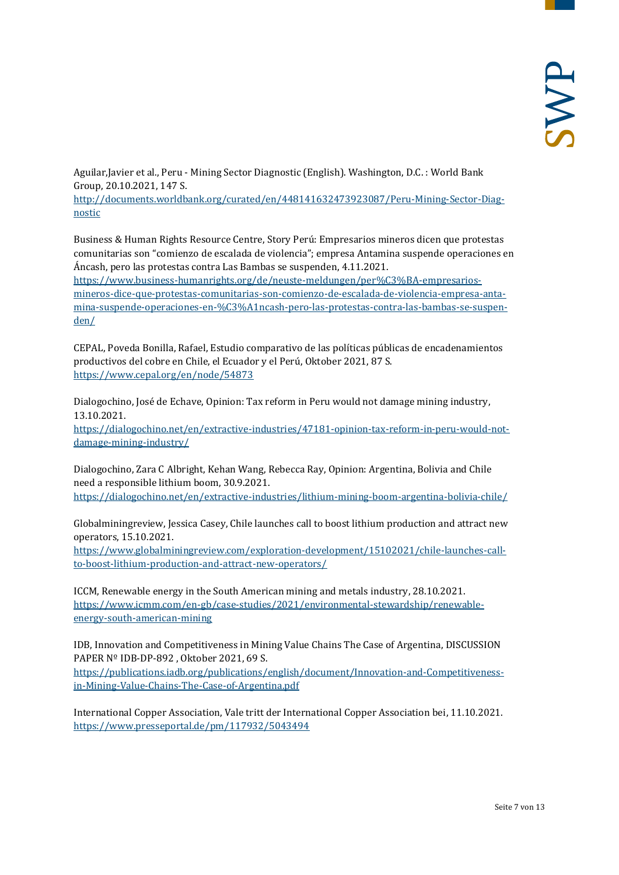Aguilar,Javier et al., Peru - Mining Sector Diagnostic (English). Washington, D.C. : World Bank Group, 20.10.2021, 147 S. [http://documents.worldbank.org/curated/en/448141632473923087/Peru-Mining-Sector-Diag](http://documents.worldbank.org/curated/en/448141632473923087/Peru-Mining-Sector-Diagnostic)[nostic](http://documents.worldbank.org/curated/en/448141632473923087/Peru-Mining-Sector-Diagnostic)

Business & Human Rights Resource Centre, Story Perú: Empresarios mineros dicen que protestas comunitarias son "comienzo de escalada de violencia"; empresa Antamina suspende operaciones en Áncash, pero las protestas contra Las Bambas se suspenden, 4.11.2021.

[https://www.business-humanrights.org/de/neuste-meldungen/per%C3%BA-empresarios](https://www.business-humanrights.org/de/neuste-meldungen/per%C3%BA-empresarios-mineros-dice-que-protestas-comunitarias-son-comienzo-de-escalada-de-violencia-empresa-antamina-suspende-operaciones-en-%C3%A1ncash-pero-las-protestas-contra-las-bambas-se-suspenden/)[mineros-dice-que-protestas-comunitarias-son-comienzo-de-escalada-de-violencia-empresa-anta](https://www.business-humanrights.org/de/neuste-meldungen/per%C3%BA-empresarios-mineros-dice-que-protestas-comunitarias-son-comienzo-de-escalada-de-violencia-empresa-antamina-suspende-operaciones-en-%C3%A1ncash-pero-las-protestas-contra-las-bambas-se-suspenden/)[mina-suspende-operaciones-en-%C3%A1ncash-pero-las-protestas-contra-las-bambas-se-suspen](https://www.business-humanrights.org/de/neuste-meldungen/per%C3%BA-empresarios-mineros-dice-que-protestas-comunitarias-son-comienzo-de-escalada-de-violencia-empresa-antamina-suspende-operaciones-en-%C3%A1ncash-pero-las-protestas-contra-las-bambas-se-suspenden/)[den/](https://www.business-humanrights.org/de/neuste-meldungen/per%C3%BA-empresarios-mineros-dice-que-protestas-comunitarias-son-comienzo-de-escalada-de-violencia-empresa-antamina-suspende-operaciones-en-%C3%A1ncash-pero-las-protestas-contra-las-bambas-se-suspenden/)

CEPAL, Poveda Bonilla, Rafael, Estudio comparativo de las políticas públicas de encadenamientos productivos del cobre en Chile, el Ecuador y el Perú, Oktober 2021, 87 S. <https://www.cepal.org/en/node/54873>

Dialogochino, José de Echave, Opinion: Tax reform in Peru would not damage mining industry, 13.10.2021.

[https://dialogochino.net/en/extractive-industries/47181-opinion-tax-reform-in-peru-would-not](https://dialogochino.net/en/extractive-industries/47181-opinion-tax-reform-in-peru-would-not-damage-mining-industry/)[damage-mining-industry/](https://dialogochino.net/en/extractive-industries/47181-opinion-tax-reform-in-peru-would-not-damage-mining-industry/)

Dialogochino, Zara C Albright, Kehan Wang, Rebecca Ray, Opinion: Argentina, Bolivia and Chile need a responsible lithium boom, 30.9.2021. <https://dialogochino.net/en/extractive-industries/lithium-mining-boom-argentina-bolivia-chile/>

Globalminingreview, Jessica Casey, Chile launches call to boost lithium production and attract new operators, 15.10.2021.

[https://www.globalminingreview.com/exploration-development/15102021/chile-launches-call](https://www.globalminingreview.com/exploration-development/15102021/chile-launches-call-to-boost-lithium-production-and-attract-new-operators/)[to-boost-lithium-production-and-attract-new-operators/](https://www.globalminingreview.com/exploration-development/15102021/chile-launches-call-to-boost-lithium-production-and-attract-new-operators/)

ICCM, Renewable energy in the South American mining and metals industry, 28.10.2021. [https://www.icmm.com/en-gb/case-studies/2021/environmental-stewardship/renewable](https://www.icmm.com/en-gb/case-studies/2021/environmental-stewardship/renewable-energy-south-american-mining)[energy-south-american-mining](https://www.icmm.com/en-gb/case-studies/2021/environmental-stewardship/renewable-energy-south-american-mining)

IDB, Innovation and Competitiveness in Mining Value Chains The Case of Argentina, DISCUSSION PAPER Nº IDB-DP-892 , Oktober 2021, 69 S. [https://publications.iadb.org/publications/english/document/Innovation-and-Competitiveness](https://publications.iadb.org/publications/english/document/Innovation-and-Competitiveness-in-Mining-Value-Chains-The-Case-of-Argentina.pdf)[in-Mining-Value-Chains-The-Case-of-Argentina.pdf](https://publications.iadb.org/publications/english/document/Innovation-and-Competitiveness-in-Mining-Value-Chains-The-Case-of-Argentina.pdf)

International Copper Association, Vale tritt der International Copper Association bei, 11.10.2021. <https://www.presseportal.de/pm/117932/5043494>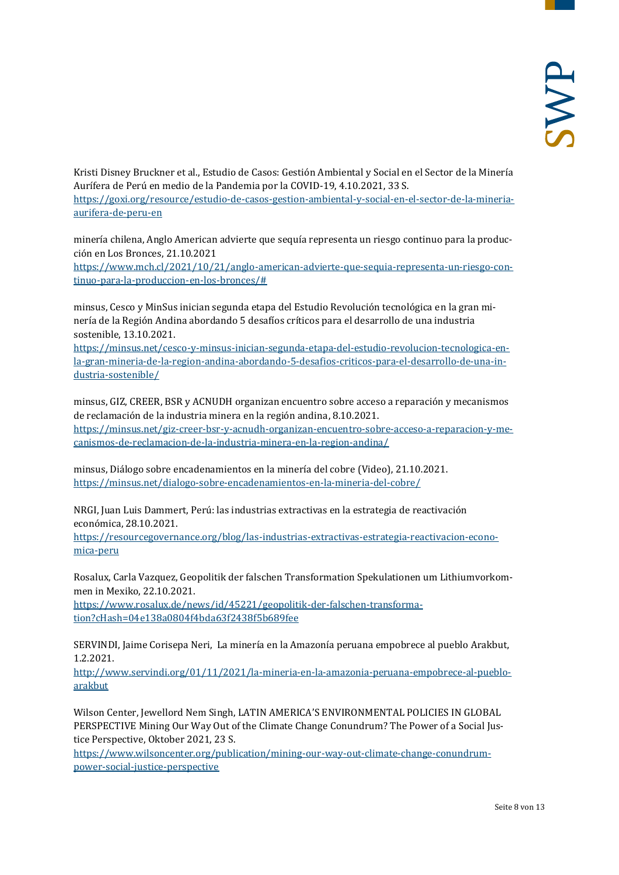Kristi Disney Bruckner et al., Estudio de Casos: Gestión Ambiental y Social en el Sector de la Minería Aurífera de Perú en medio de la Pandemia por la COVID-19, 4.10.2021, 33 S.

[https://goxi.org/resource/estudio-de-casos-gestion-ambiental-y-social-en-el-sector-de-la-mineria](https://goxi.org/resource/estudio-de-casos-gestion-ambiental-y-social-en-el-sector-de-la-mineria-aurifera-de-peru-en)[aurifera-de-peru-en](https://goxi.org/resource/estudio-de-casos-gestion-ambiental-y-social-en-el-sector-de-la-mineria-aurifera-de-peru-en)

minería chilena, Anglo American advierte que sequía representa un riesgo continuo para la producción en Los Bronces, 21.10.2021

[https://www.mch.cl/2021/10/21/anglo-american-advierte-que-sequia-representa-un-riesgo-con](https://www.mch.cl/2021/10/21/anglo-american-advierte-que-sequia-representa-un-riesgo-continuo-para-la-produccion-en-los-bronces/)[tinuo-para-la-produccion-en-los-bronces/#](https://www.mch.cl/2021/10/21/anglo-american-advierte-que-sequia-representa-un-riesgo-continuo-para-la-produccion-en-los-bronces/)

minsus, Cesco y MinSus inician segunda etapa del Estudio Revolución tecnológica en la gran minería de la Región Andina abordando 5 desafíos críticos para el desarrollo de una industria sostenible, 13.10.2021.

[https://minsus.net/cesco-y-minsus-inician-segunda-etapa-del-estudio-revolucion-tecnologica-en](https://minsus.net/cesco-y-minsus-inician-segunda-etapa-del-estudio-revolucion-tecnologica-en-la-gran-mineria-de-la-region-andina-abordando-5-desafios-criticos-para-el-desarrollo-de-una-industria-sostenible/)[la-gran-mineria-de-la-region-andina-abordando-5-desafios-criticos-para-el-desarrollo-de-una-in](https://minsus.net/cesco-y-minsus-inician-segunda-etapa-del-estudio-revolucion-tecnologica-en-la-gran-mineria-de-la-region-andina-abordando-5-desafios-criticos-para-el-desarrollo-de-una-industria-sostenible/)[dustria-sostenible/](https://minsus.net/cesco-y-minsus-inician-segunda-etapa-del-estudio-revolucion-tecnologica-en-la-gran-mineria-de-la-region-andina-abordando-5-desafios-criticos-para-el-desarrollo-de-una-industria-sostenible/)

minsus, GIZ, CREER, BSR y ACNUDH organizan encuentro sobre acceso a reparación y mecanismos de reclamación de la industria minera en la región andina, 8.10.2021.

[https://minsus.net/giz-creer-bsr-y-acnudh-organizan-encuentro-sobre-acceso-a-reparacion-y-me](https://minsus.net/giz-creer-bsr-y-acnudh-organizan-encuentro-sobre-acceso-a-reparacion-y-mecanismos-de-reclamacion-de-la-industria-minera-en-la-region-andina/)[canismos-de-reclamacion-de-la-industria-minera-en-la-region-andina/](https://minsus.net/giz-creer-bsr-y-acnudh-organizan-encuentro-sobre-acceso-a-reparacion-y-mecanismos-de-reclamacion-de-la-industria-minera-en-la-region-andina/)

minsus, Diálogo sobre encadenamientos en la minería del cobre (Video), 21.10.2021. <https://minsus.net/dialogo-sobre-encadenamientos-en-la-mineria-del-cobre/>

NRGI, Juan Luis Dammert, Perú: las industrias extractivas en la estrategia de reactivación económica, 28.10.2021.

[https://resourcegovernance.org/blog/las-industrias-extractivas-estrategia-reactivacion-econo](https://resourcegovernance.org/blog/las-industrias-extractivas-estrategia-reactivacion-economica-peru)[mica-peru](https://resourcegovernance.org/blog/las-industrias-extractivas-estrategia-reactivacion-economica-peru)

Rosalux, Carla Vazquez, Geopolitik der falschen Transformation Spekulationen um Lithiumvorkommen in Mexiko, 22.10.2021.

[https://www.rosalux.de/news/id/45221/geopolitik-der-falschen-transforma](https://www.rosalux.de/news/id/45221/geopolitik-der-falschen-transformation?cHash=04e138a0804f4bda63f2438f5b689fee)[tion?cHash=04e138a0804f4bda63f2438f5b689fee](https://www.rosalux.de/news/id/45221/geopolitik-der-falschen-transformation?cHash=04e138a0804f4bda63f2438f5b689fee)

SERVINDI, Jaime Corisepa Neri, La minería en la Amazonía peruana empobrece al pueblo Arakbut, 1.2.2021.

[http://www.servindi.org/01/11/2021/la-mineria-en-la-amazonia-peruana-empobrece-al-pueblo](http://www.servindi.org/01/11/2021/la-mineria-en-la-amazonia-peruana-empobrece-al-pueblo-arakbut)[arakbut](http://www.servindi.org/01/11/2021/la-mineria-en-la-amazonia-peruana-empobrece-al-pueblo-arakbut)

Wilson Center, Jewellord Nem Singh, LATIN AMERICA'S ENVIRONMENTAL POLICIES IN GLOBAL PERSPECTIVE Mining Our Way Out of the Climate Change Conundrum? The Power of a Social Justice Perspective, Oktober 2021, 23 S.

[https://www.wilsoncenter.org/publication/mining-our-way-out-climate-change-conundrum](https://www.wilsoncenter.org/publication/mining-our-way-out-climate-change-conundrum-power-social-justice-perspective)[power-social-justice-perspective](https://www.wilsoncenter.org/publication/mining-our-way-out-climate-change-conundrum-power-social-justice-perspective)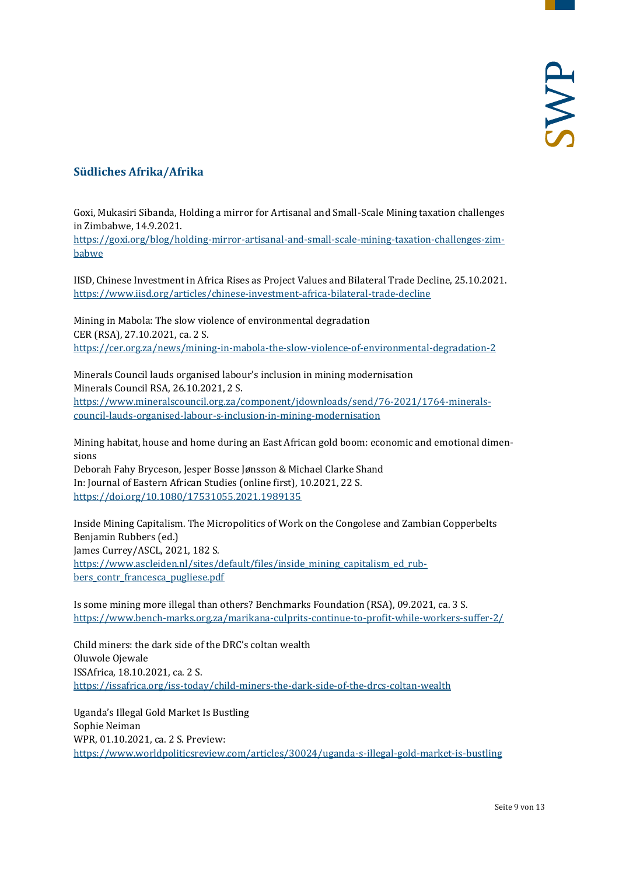### <span id="page-8-0"></span>**Südliches Afrika/Afrika**

Goxi, Mukasiri Sibanda, Holding a mirror for Artisanal and Small-Scale Mining taxation challenges in Zimbabwe, 14.9.2021.

[https://goxi.org/blog/holding-mirror-artisanal-and-small-scale-mining-taxation-challenges-zim](https://goxi.org/blog/holding-mirror-artisanal-and-small-scale-mining-taxation-challenges-zimbabwe)[babwe](https://goxi.org/blog/holding-mirror-artisanal-and-small-scale-mining-taxation-challenges-zimbabwe)

IISD, Chinese Investment in Africa Rises as Project Values and Bilateral Trade Decline, 25.10.2021. <https://www.iisd.org/articles/chinese-investment-africa-bilateral-trade-decline>

Mining in Mabola: The slow violence of environmental degradation CER (RSA), 27.10.2021, ca. 2 S. <https://cer.org.za/news/mining-in-mabola-the-slow-violence-of-environmental-degradation-2>

Minerals Council lauds organised labour's inclusion in mining modernisation Minerals Council RSA, 26.10.2021, 2 S. [https://www.mineralscouncil.org.za/component/jdownloads/send/76-2021/1764-minerals](https://www.mineralscouncil.org.za/component/jdownloads/send/76-2021/1764-minerals-council-lauds-organised-labour-s-inclusion-in-mining-modernisation)[council-lauds-organised-labour-s-inclusion-in-mining-modernisation](https://www.mineralscouncil.org.za/component/jdownloads/send/76-2021/1764-minerals-council-lauds-organised-labour-s-inclusion-in-mining-modernisation)

Mining habitat, house and home during an East African gold boom: economic and emotional dimensions

Deborah Fahy Bryceson, Jesper Bosse Jønsson & Michael Clarke Shand In: Journal of Eastern African Studies (online first), 10.2021, 22 S. <https://doi.org/10.1080/17531055.2021.1989135>

Inside Mining Capitalism. The Micropolitics of Work on the Congolese and Zambian Copperbelts Benjamin Rubbers (ed.) James Currey/ASCL, 2021, 182 S. [https://www.ascleiden.nl/sites/default/files/inside\\_mining\\_capitalism\\_ed\\_rub](https://www.ascleiden.nl/sites/default/files/inside_mining_capitalism_ed_rubbers_contr_francesca_pugliese.pdf)[bers\\_contr\\_francesca\\_pugliese.pdf](https://www.ascleiden.nl/sites/default/files/inside_mining_capitalism_ed_rubbers_contr_francesca_pugliese.pdf)

Is some mining more illegal than others? Benchmarks Foundation (RSA), 09.2021, ca. 3 S. <https://www.bench-marks.org.za/marikana-culprits-continue-to-profit-while-workers-suffer-2/>

Child miners: the dark side of the DRC's coltan wealth Oluwole Ojewale ISSAfrica, 18.10.2021, ca. 2 S. <https://issafrica.org/iss-today/child-miners-the-dark-side-of-the-drcs-coltan-wealth>

Uganda's Illegal Gold Market Is Bustling Sophie Neiman WPR, 01.10.2021, ca. 2 S. Preview: <https://www.worldpoliticsreview.com/articles/30024/uganda-s-illegal-gold-market-is-bustling>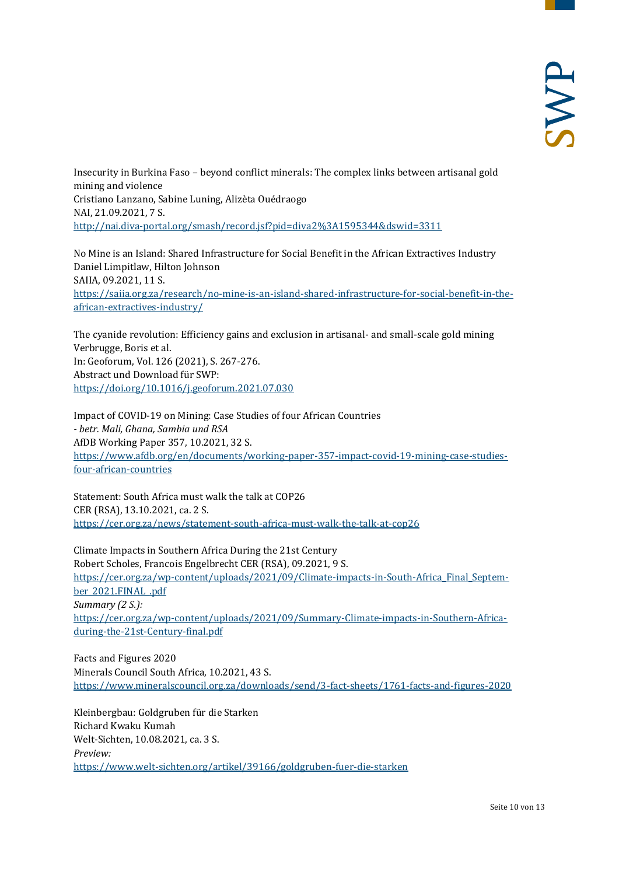Insecurity in Burkina Faso – beyond conflict minerals: The complex links between artisanal gold mining and violence Cristiano Lanzano, Sabine Luning, Alizèta Ouédraogo NAI, 21.09.2021, 7 S. <http://nai.diva-portal.org/smash/record.jsf?pid=diva2%3A1595344&dswid=3311>

No Mine is an Island: Shared Infrastructure for Social Benefit in the African Extractives Industry Daniel Limpitlaw, Hilton Johnson SAIIA, 09.2021, 11 S. [https://saiia.org.za/research/no-mine-is-an-island-shared-infrastructure-for-social-benefit-in-the](https://saiia.org.za/research/no-mine-is-an-island-shared-infrastructure-for-social-benefit-in-the-african-extractives-industry/)[african-extractives-industry/](https://saiia.org.za/research/no-mine-is-an-island-shared-infrastructure-for-social-benefit-in-the-african-extractives-industry/)

The cyanide revolution: Efficiency gains and exclusion in artisanal- and small-scale gold mining Verbrugge, Boris et al. In: Geoforum, Vol. 126 (2021), S. 267-276. Abstract und Download für SWP: <https://doi.org/10.1016/j.geoforum.2021.07.030>

Impact of COVID-19 on Mining: Case Studies of four African Countries *- betr. Mali, Ghana, Sambia und RSA* AfDB Working Paper 357, 10.2021, 32 S. [https://www.afdb.org/en/documents/working-paper-357-impact-covid-19-mining-case-studies](https://www.afdb.org/en/documents/working-paper-357-impact-covid-19-mining-case-studies-four-african-countries)[four-african-countries](https://www.afdb.org/en/documents/working-paper-357-impact-covid-19-mining-case-studies-four-african-countries)

Statement: South Africa must walk the talk at COP26 CER (RSA), 13.10.2021, ca. 2 S. <https://cer.org.za/news/statement-south-africa-must-walk-the-talk-at-cop26>

Climate Impacts in Southern Africa During the 21st Century Robert Scholes, Francois Engelbrecht CER (RSA), 09.2021, 9 S. [https://cer.org.za/wp-content/uploads/2021/09/Climate-impacts-in-South-Africa\\_Final\\_Septem](https://cer.org.za/wp-content/uploads/2021/09/Climate-impacts-in-South-Africa_Final_September_2021.FINAL_.pdf)[ber\\_2021.FINAL\\_.pdf](https://cer.org.za/wp-content/uploads/2021/09/Climate-impacts-in-South-Africa_Final_September_2021.FINAL_.pdf) *Summary (2 S.):* [https://cer.org.za/wp-content/uploads/2021/09/Summary-Climate-impacts-in-Southern-Africa](https://cer.org.za/wp-content/uploads/2021/09/Summary-Climate-impacts-in-Southern-Africa-during-the-21st-Century-final.pdf)[during-the-21st-Century-final.pdf](https://cer.org.za/wp-content/uploads/2021/09/Summary-Climate-impacts-in-Southern-Africa-during-the-21st-Century-final.pdf)

Facts and Figures 2020 Minerals Council South Africa, 10.2021, 43 S. <https://www.mineralscouncil.org.za/downloads/send/3-fact-sheets/1761-facts-and-figures-2020>

Kleinbergbau: Goldgruben für die Starken Richard Kwaku Kumah Welt-Sichten, 10.08.2021, ca. 3 S. *Preview:* <https://www.welt-sichten.org/artikel/39166/goldgruben-fuer-die-starken>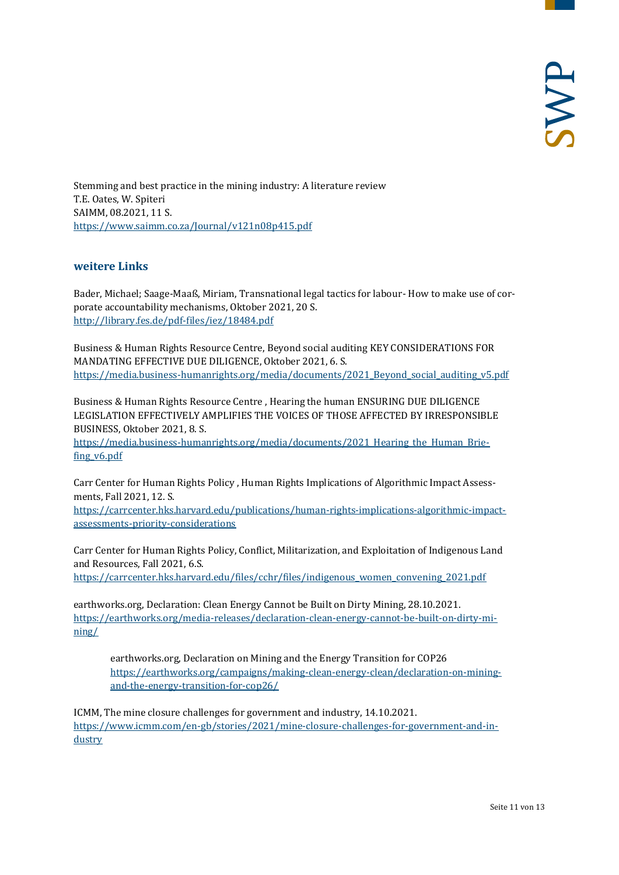Stemming and best practice in the mining industry: A literature review T.E. Oates, W. Spiteri SAIMM, 08.2021, 11 S. <https://www.saimm.co.za/Journal/v121n08p415.pdf>

#### <span id="page-10-0"></span>**weitere Links**

Bader, Michael; Saage-Maaß, Miriam, Transnational legal tactics for labour- How to make use of corporate accountability mechanisms, Oktober 2021, 20 S. <http://library.fes.de/pdf-files/iez/18484.pdf>

Business & Human Rights Resource Centre, Beyond social auditing KEY CONSIDERATIONS FOR MANDATING EFFECTIVE DUE DILIGENCE, Oktober 2021, 6. S. [https://media.business-humanrights.org/media/documents/2021\\_Beyond\\_social\\_auditing\\_v5.pdf](https://media.business-humanrights.org/media/documents/2021_Beyond_social_auditing_v5.pdf)

Business & Human Rights Resource Centre , Hearing the human ENSURING DUE DILIGENCE LEGISLATION EFFECTIVELY AMPLIFIES THE VOICES OF THOSE AFFECTED BY IRRESPONSIBLE BUSINESS, Oktober 2021, 8. S.

https://media.business-humanrights.org/media/documents/2021 Hearing the Human Brie[fing\\_v6.pdf](https://media.business-humanrights.org/media/documents/2021_Hearing_the_Human_Briefing_v6.pdf)

Carr Center for Human Rights Policy , Human Rights Implications of Algorithmic Impact Assessments, Fall 2021, 12. S.

[https://carrcenter.hks.harvard.edu/publications/human-rights-implications-algorithmic-impact](https://carrcenter.hks.harvard.edu/publications/human-rights-implications-algorithmic-impact-assessments-priority-considerations)[assessments-priority-considerations](https://carrcenter.hks.harvard.edu/publications/human-rights-implications-algorithmic-impact-assessments-priority-considerations)

Carr Center for Human Rights Policy, Conflict, Militarization, and Exploitation of Indigenous Land and Resources, Fall 2021, 6.S.

[https://carrcenter.hks.harvard.edu/files/cchr/files/indigenous\\_women\\_convening\\_2021.pdf](https://carrcenter.hks.harvard.edu/files/cchr/files/indigenous_women_convening_2021.pdf)

earthworks.org, Declaration: Clean Energy Cannot be Built on Dirty Mining, 28.10.2021. [https://earthworks.org/media-releases/declaration-clean-energy-cannot-be-built-on-dirty-mi](https://earthworks.org/media-releases/declaration-clean-energy-cannot-be-built-on-dirty-mining/)[ning/](https://earthworks.org/media-releases/declaration-clean-energy-cannot-be-built-on-dirty-mining/)

earthworks.org, Declaration on Mining and the Energy Transition for COP26 [https://earthworks.org/campaigns/making-clean-energy-clean/declaration-on-mining](https://earthworks.org/campaigns/making-clean-energy-clean/declaration-on-mining-and-the-energy-transition-for-cop26/)[and-the-energy-transition-for-cop26/](https://earthworks.org/campaigns/making-clean-energy-clean/declaration-on-mining-and-the-energy-transition-for-cop26/)

ICMM, The mine closure challenges for government and industry, 14.10.2021. [https://www.icmm.com/en-gb/stories/2021/mine-closure-challenges-for-government-and-in](https://www.icmm.com/en-gb/stories/2021/mine-closure-challenges-for-government-and-industry)[dustry](https://www.icmm.com/en-gb/stories/2021/mine-closure-challenges-for-government-and-industry)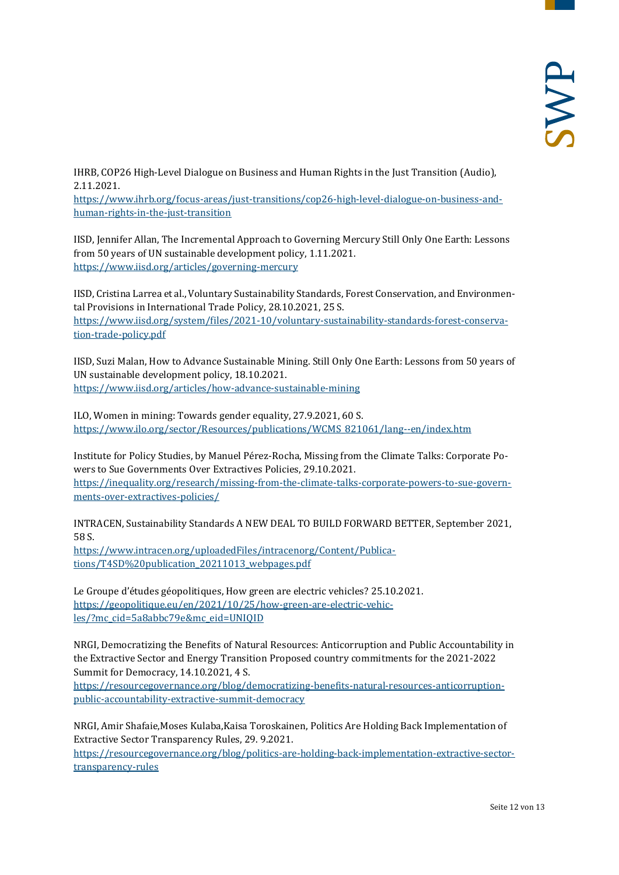IHRB, COP26 High-Level Dialogue on Business and Human Rights in the Just Transition (Audio), 2.11.2021.

https://www.ihrb.org/focus-areas/just-transitions/cop26-high-level-dialogue-on-business-andhuman-rights-in-the-just-transition

IISD, Jennifer Allan, The Incremental Approach to Governing Mercury Still Only One Earth: Lessons from 50 years of UN sustainable development policy, 1.11.2021. <https://www.iisd.org/articles/governing-mercury>

IISD, Cristina Larrea et al., Voluntary Sustainability Standards, Forest Conservation, and Environmental Provisions in International Trade Policy, 28.10.2021, 25 S. [https://www.iisd.org/system/files/2021-10/voluntary-sustainability-standards-forest-conserva](https://www.iisd.org/system/files/2021-10/voluntary-sustainability-standards-forest-conservation-trade-policy.pdf)[tion-trade-policy.pdf](https://www.iisd.org/system/files/2021-10/voluntary-sustainability-standards-forest-conservation-trade-policy.pdf)

IISD, Suzi Malan, How to Advance Sustainable Mining. Still Only One Earth: Lessons from 50 years of UN sustainable development policy, 18.10.2021. <https://www.iisd.org/articles/how-advance-sustainable-mining>

ILO, Women in mining: Towards gender equality, 27.9.2021, 60 S. [https://www.ilo.org/sector/Resources/publications/WCMS\\_821061/lang--en/index.htm](https://www.ilo.org/sector/Resources/publications/WCMS_821061/lang--en/index.htm)

Institute for Policy Studies, by Manuel Pérez-Rocha, Missing from the Climate Talks: Corporate Powers to Sue Governments Over Extractives Policies, 29.10.2021. [https://inequality.org/research/missing-from-the-climate-talks-corporate-powers-to-sue-govern](https://inequality.org/research/missing-from-the-climate-talks-corporate-powers-to-sue-governments-over-extractives-policies/)[ments-over-extractives-policies/](https://inequality.org/research/missing-from-the-climate-talks-corporate-powers-to-sue-governments-over-extractives-policies/)

INTRACEN, Sustainability Standards A NEW DEAL TO BUILD FORWARD BETTER, September 2021, 58 S.

[https://www.intracen.org/uploadedFiles/intracenorg/Content/Publica](https://www.intracen.org/uploadedFiles/intracenorg/Content/Publications/T4SD%20publication_20211013_webpages.pdf)tions/T4SD%20publication 20211013 webpages.pdf

Le Groupe d'études géopolitiques, How green are electric vehicles? 25.10.2021. [https://geopolitique.eu/en/2021/10/25/how-green-are-electric-vehic](https://geopolitique.eu/en/2021/10/25/how-green-are-electric-vehicles/?mc_cid=5a8abbc79e&mc_eid=UNIQID)[les/?mc\\_cid=5a8abbc79e&mc\\_eid=UNIQID](https://geopolitique.eu/en/2021/10/25/how-green-are-electric-vehicles/?mc_cid=5a8abbc79e&mc_eid=UNIQID)

NRGI, Democratizing the Benefits of Natural Resources: Anticorruption and Public Accountability in the Extractive Sector and Energy Transition Proposed country commitments for the 2021-2022 Summit for Democracy, 14.10.2021, 4 S.

[https://resourcegovernance.org/blog/democratizing-benefits-natural-resources-anticorruption](https://resourcegovernance.org/blog/democratizing-benefits-natural-resources-anticorruption-public-accountability-extractive-summit-democracy)[public-accountability-extractive-summit-democracy](https://resourcegovernance.org/blog/democratizing-benefits-natural-resources-anticorruption-public-accountability-extractive-summit-democracy)

NRGI, Amir Shafaie,Moses Kulaba,Kaisa Toroskainen, Politics Are Holding Back Implementation of Extractive Sector Transparency Rules, 29. 9.2021.

[https://resourcegovernance.org/blog/politics-are-holding-back-implementation-extractive-sector](https://resourcegovernance.org/blog/politics-are-holding-back-implementation-extractive-sector-transparency-rules)[transparency-rules](https://resourcegovernance.org/blog/politics-are-holding-back-implementation-extractive-sector-transparency-rules)